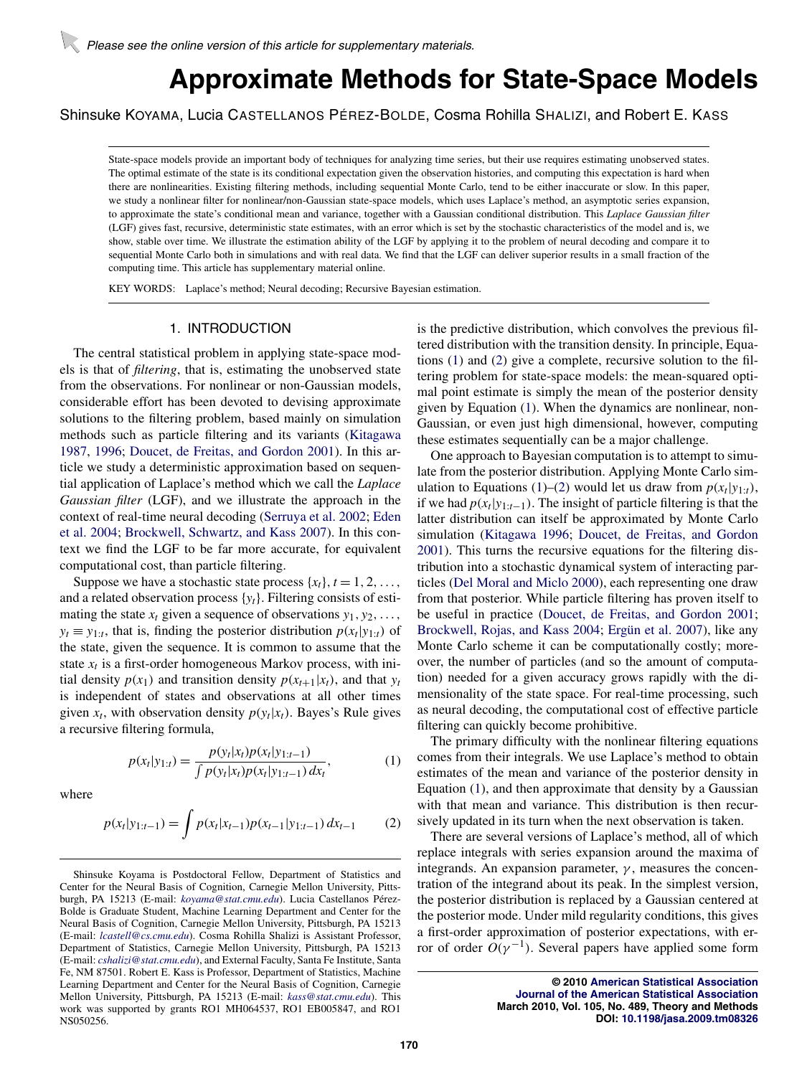# **Approximate Methods for State-Space Models**

<span id="page-0-0"></span>Shinsuke KOYAMA, Lucia CASTELLANOS PÉREZ-BOLDE, Cosma Rohilla SHALIZI, and Robert E. KASS

State-space models provide an important body of techniques for analyzing time series, but their use requires estimating unobserved states. The optimal estimate of the state is its conditional expectation given the observation histories, and computing this expectation is hard when there are nonlinearities. Existing filtering methods, including sequential Monte Carlo, tend to be either inaccurate or slow. In this paper, we study a nonlinear filter for nonlinear/non-Gaussian state-space models, which uses Laplace's method, an asymptotic series expansion, to approximate the state's conditional mean and variance, together with a Gaussian conditional distribution. This *Laplace Gaussian filter* (LGF) gives fast, recursive, deterministic state estimates, with an error which is set by the stochastic characteristics of the model and is, we show, stable over time. We illustrate the estimation ability of the LGF by applying it to the problem of neural decoding and compare it to sequential Monte Carlo both in simulations and with real data. We find that the LGF can deliver superior results in a small fraction of the computing time. This article has supplementary material online.

KEY WORDS: Laplace's method; Neural decoding; Recursive Bayesian estimation.

# 1. INTRODUCTION

The central statistical problem in applying state-space models is that of *filtering*, that is, estimating the unobserved state from the observations. For nonlinear or non-Gaussian models, considerable effort has been devoted to devising approximate solutions to the filtering problem, based mainly on simulation methods such as particle filtering and its variants [\(Kitagawa](#page-10-0) [1987,](#page-10-0) [1996;](#page-10-0) [Doucet, de Freitas, and Gordon 2001\)](#page-9-0). In this article we study a deterministic approximation based on sequential application of Laplace's method which we call the *Laplace Gaussian filter* (LGF), and we illustrate the approach in the context of real-time neural decoding [\(Serruya et al. 2002;](#page-10-0) [Eden](#page-9-0) [et al. 2004;](#page-9-0) [Brockwell, Schwartz, and Kass 2007\)](#page-9-0). In this context we find the LGF to be far more accurate, for equivalent computational cost, than particle filtering.

Suppose we have a stochastic state process  $\{x_t\}$ ,  $t = 1, 2, \ldots$ , and a related observation process {*yt*}. Filtering consists of estimating the state  $x_t$  given a sequence of observations  $y_1, y_2, \ldots$ ,  $y_t \equiv y_{1:t}$ , that is, finding the posterior distribution  $p(x_t|y_{1:t})$  of the state, given the sequence. It is common to assume that the state  $x_t$  is a first-order homogeneous Markov process, with initial density  $p(x_1)$  and transition density  $p(x_{t+1}|x_t)$ , and that  $y_t$ is independent of states and observations at all other times given  $x_t$ , with observation density  $p(y_t|x_t)$ . Bayes's Rule gives a recursive filtering formula,

$$
p(x_t|y_{1:t}) = \frac{p(y_t|x_t)p(x_t|y_{1:t-1})}{\int p(y_t|x_t)p(x_t|y_{1:t-1}) dx_t},
$$
\n(1)

where

$$
p(x_t|y_{1:t-1}) = \int p(x_t|x_{t-1})p(x_{t-1}|y_{1:t-1}) dx_{t-1} \tag{2}
$$

is the predictive distribution, which convolves the previous filtered distribution with the transition density. In principle, Equations (1) and (2) give a complete, recursive solution to the filtering problem for state-space models: the mean-squared optimal point estimate is simply the mean of the posterior density given by Equation (1). When the dynamics are nonlinear, non-Gaussian, or even just high dimensional, however, computing these estimates sequentially can be a major challenge.

One approach to Bayesian computation is to attempt to simulate from the posterior distribution. Applying Monte Carlo simulation to Equations (1)–(2) would let us draw from  $p(x_t|y_{1:t})$ , if we had  $p(x_t|y_{1:t-1})$ . The insight of particle filtering is that the latter distribution can itself be approximated by Monte Carlo simulation [\(Kitagawa 1996;](#page-10-0) [Doucet, de Freitas, and Gordon](#page-9-0) [2001\)](#page-9-0). This turns the recursive equations for the filtering distribution into a stochastic dynamical system of interacting particles [\(Del Moral and Miclo 2000\)](#page-9-0), each representing one draw from that posterior. While particle filtering has proven itself to be useful in practice [\(Doucet, de Freitas, and Gordon 2001;](#page-9-0) [Brockwell, Rojas, and Kass 2004;](#page-9-0) [Ergün et al. 2007\)](#page-9-0), like any Monte Carlo scheme it can be computationally costly; moreover, the number of particles (and so the amount of computation) needed for a given accuracy grows rapidly with the dimensionality of the state space. For real-time processing, such as neural decoding, the computational cost of effective particle filtering can quickly become prohibitive.

The primary difficulty with the nonlinear filtering equations comes from their integrals. We use Laplace's method to obtain estimates of the mean and variance of the posterior density in Equation (1), and then approximate that density by a Gaussian with that mean and variance. This distribution is then recursively updated in its turn when the next observation is taken.

There are several versions of Laplace's method, all of which replace integrals with series expansion around the maxima of integrands. An expansion parameter,  $\gamma$ , measures the concentration of the integrand about its peak. In the simplest version, the posterior distribution is replaced by a Gaussian centered at the posterior mode. Under mild regularity conditions, this gives a first-order approximation of posterior expectations, with error of order  $O(\gamma^{-1})$ . Several papers have applied some form

> **© 2010 [American Statistical Association](http://www.amstat.org) [Journal of the American Statistical Association](http://pubs.amstat.org/loi/jasa) March 2010, Vol. 105, No. 489, Theory and Methods DOI: [10.1198/jasa.2009.tm08326](http://dx.doi.org/10.1198/jasa.2009.tm08326)**

Shinsuke Koyama is Postdoctoral Fellow, Department of Statistics and Center for the Neural Basis of Cognition, Carnegie Mellon University, Pittsburgh, PA 15213 (E-mail: *[koyama@stat.cmu.edu](mailto:koyama@stat.cmu.edu)*). Lucia Castellanos Pérez-Bolde is Graduate Student, Machine Learning Department and Center for the Neural Basis of Cognition, Carnegie Mellon University, Pittsburgh, PA 15213 (E-mail: *[lcastell@cs.cmu.edu](mailto:lcastell@cs.cmu.edu)*). Cosma Rohilla Shalizi is Assistant Professor, Department of Statistics, Carnegie Mellon University, Pittsburgh, PA 15213 (E-mail: *[cshalizi@stat.cmu.edu](mailto:cshalizi@stat.cmu.edu)*), and External Faculty, Santa Fe Institute, Santa Fe, NM 87501. Robert E. Kass is Professor, Department of Statistics, Machine Learning Department and Center for the Neural Basis of Cognition, Carnegie Mellon University, Pittsburgh, PA 15213 (E-mail: *[kass@stat.cmu.edu](mailto:kass@stat.cmu.edu)*). This work was supported by grants RO1 MH064537, RO1 EB005847, and RO1 NS050256.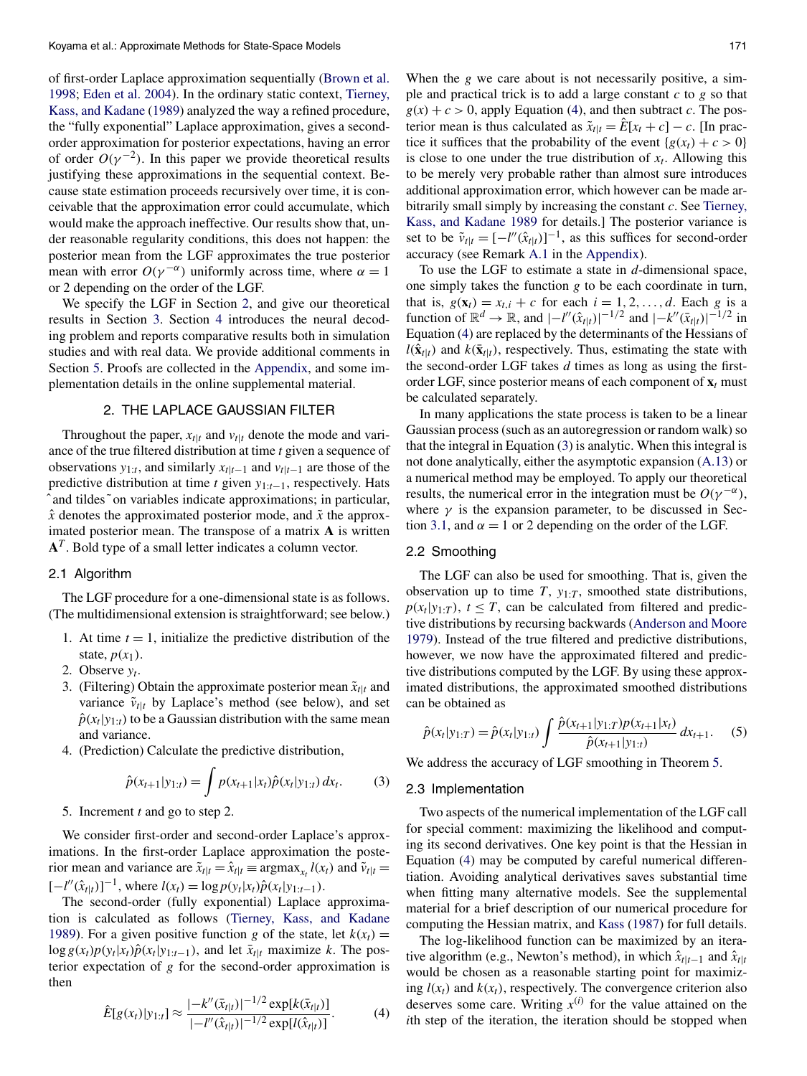<span id="page-1-0"></span>of first-order Laplace approximation sequentially [\(Brown et al.](#page-9-0) [1998;](#page-9-0) [Eden et al. 2004\)](#page-9-0). In the ordinary static context, [Tierney,](#page-10-0) [Kass, and Kadane](#page-10-0) [\(1989\)](#page-10-0) analyzed the way a refined procedure, the "fully exponential" Laplace approximation, gives a secondorder approximation for posterior expectations, having an error of order  $O(\gamma^{-2})$ . In this paper we provide theoretical results justifying these approximations in the sequential context. Because state estimation proceeds recursively over time, it is conceivable that the approximation error could accumulate, which would make the approach ineffective. Our results show that, under reasonable regularity conditions, this does not happen: the posterior mean from the LGF approximates the true posterior mean with error  $O(\gamma^{-\alpha})$  uniformly across time, where  $\alpha = 1$ or 2 depending on the order of the LGF.

We specify the LGF in Section 2, and give our theoretical results in Section [3.](#page-2-0) Section [4](#page-3-0) introduces the neural decoding problem and reports comparative results both in simulation studies and with real data. We provide additional comments in Section [5.](#page-6-0) Proofs are collected in the [Appendix,](#page-6-0) and some implementation details in the online supplemental material.

# 2. THE LAPLACE GAUSSIAN FILTER

Throughout the paper,  $x_{t|t}$  and  $v_{t|t}$  denote the mode and variance of the true filtered distribution at time *t* given a sequence of observations  $y_{1:t}$ , and similarly  $x_{t|t-1}$  and  $v_{t|t-1}$  are those of the predictive distribution at time *t* given *y*1:*t*<sup>−</sup>1, respectively. Hats `and tildes~on variables indicate approximations; in particular,  $\hat{x}$  denotes the approximated posterior mode, and  $\tilde{x}$  the approximated posterior mean. The transpose of a matrix **A** is written **A***<sup>T</sup>* . Bold type of a small letter indicates a column vector.

## 2.1 Algorithm

The LGF procedure for a one-dimensional state is as follows. (The multidimensional extension is straightforward; see below.)

- 1. At time  $t = 1$ , initialize the predictive distribution of the state,  $p(x_1)$ .
- 2. Observe *yt*.
- 3. (Filtering) Obtain the approximate posterior mean  $\tilde{x}_{t}|_t$  and variance  $\tilde{v}_{t|t}$  by Laplace's method (see below), and set  $\hat{p}(x_t|y_{1:t})$  to be a Gaussian distribution with the same mean and variance.
- 4. (Prediction) Calculate the predictive distribution,

$$
\hat{p}(x_{t+1}|y_{1:t}) = \int p(x_{t+1}|x_t)\hat{p}(x_t|y_{1:t}) dx_t.
$$
 (3)

5. Increment *t* and go to step 2.

We consider first-order and second-order Laplace's approximations. In the first-order Laplace approximation the posterior mean and variance are  $\tilde{x}_{t|t} = \hat{x}_{t|t} \equiv \arg \max_{x_t} l(x_t)$  and  $\tilde{v}_{t|t} =$  $[-l''(\hat{x}_{t|t})]^{-1}$ , where  $l(x_t) = \log p(y_t|x_t) \hat{p}(x_t | y_{1:t-1})$ .

The second-order (fully exponential) Laplace approximation is calculated as follows [\(Tierney, Kass, and Kadane](#page-10-0) [1989\)](#page-10-0). For a given positive function *g* of the state, let  $k(x_t) =$  $\log g(x_t)p(y_t|x_t)\hat{p}(x_t|y_{1:t-1})$ , and let  $\bar{x}_{t|t}$  maximize *k*. The posterior expectation of *g* for the second-order approximation is then

$$
\hat{E}[g(x_t)|y_{1:t}] \approx \frac{|-k''(\bar{x}_{t|t})|^{-1/2} \exp[k(\bar{x}_{t|t})]}{|-l''(\hat{x}_{t|t})|^{-1/2} \exp[l(\hat{x}_{t|t})]}.
$$
(4)

When the *g* we care about is not necessarily positive, a simple and practical trick is to add a large constant *c* to *g* so that  $g(x) + c > 0$ , apply Equation (4), and then subtract *c*. The posterior mean is thus calculated as  $\tilde{x}_{t|t} = \hat{E}[x_t + c] - c$ . [In practice it suffices that the probability of the event  ${g(x_t) + c > 0}$ is close to one under the true distribution of  $x_t$ . Allowing this to be merely very probable rather than almost sure introduces additional approximation error, which however can be made arbitrarily small simply by increasing the constant *c*. See [Tierney,](#page-10-0) [Kass, and Kadane 1989](#page-10-0) for details.] The posterior variance is set to be  $\tilde{v}_{t|t} = [-l''(\hat{x}_{t|t})]^{-1}$ , as this suffices for second-order accuracy (see Remark [A.1](#page-6-0) in the [Appendix\)](#page-6-0).

To use the LGF to estimate a state in *d*-dimensional space, one simply takes the function *g* to be each coordinate in turn, that is,  $g(\mathbf{x}_t) = x_{t,i} + c$  for each  $i = 1, 2, ..., d$ . Each *g* is a function of  $\mathbb{R}^d \to \mathbb{R}$ , and  $|-l''(\hat{x}_{t|t})|^{-1/2}$  and  $|-k''(\bar{x}_{t|t})|^{-1/2}$  in Equation (4) are replaced by the determinants of the Hessians of  $l(\hat{\mathbf{x}}_{t|t})$  and  $k(\bar{\mathbf{x}}_{t|t})$ , respectively. Thus, estimating the state with the second-order LGF takes *d* times as long as using the firstorder LGF, since posterior means of each component of  $\mathbf{x}_t$  must be calculated separately.

In many applications the state process is taken to be a linear Gaussian process (such as an autoregression or random walk) so that the integral in Equation (3) is analytic. When this integral is not done analytically, either the asymptotic expansion [\(A.13\)](#page-7-0) or a numerical method may be employed. To apply our theoretical results, the numerical error in the integration must be  $O(\gamma^{-\alpha})$ , where  $\gamma$  is the expansion parameter, to be discussed in Sec-tion [3.1,](#page-2-0) and  $\alpha = 1$  or 2 depending on the order of the LGF.

## 2.2 Smoothing

The LGF can also be used for smoothing. That is, given the observation up to time  $T$ ,  $y_1 \cdot T$ , smoothed state distributions,  $p(x_t|y_{1:T})$ ,  $t \leq T$ , can be calculated from filtered and predictive distributions by recursing backwards [\(Anderson and Moore](#page-9-0) [1979\)](#page-9-0). Instead of the true filtered and predictive distributions, however, we now have the approximated filtered and predictive distributions computed by the LGF. By using these approximated distributions, the approximated smoothed distributions can be obtained as

$$
\hat{p}(x_t|y_{1:T}) = \hat{p}(x_t|y_{1:T}) \int \frac{\hat{p}(x_{t+1}|y_{1:T}) p(x_{t+1}|x_t)}{\hat{p}(x_{t+1}|y_{1:T})} dx_{t+1}.
$$
 (5)

We address the accuracy of LGF smoothing in Theorem [5.](#page-2-0)

### 2.3 Implementation

Two aspects of the numerical implementation of the LGF call for special comment: maximizing the likelihood and computing its second derivatives. One key point is that the Hessian in Equation (4) may be computed by careful numerical differentiation. Avoiding analytical derivatives saves substantial time when fitting many alternative models. See the supplemental material for a brief description of our numerical procedure for computing the Hessian matrix, and [Kass](#page-10-0) [\(1987\)](#page-10-0) for full details.

The log-likelihood function can be maximized by an iterative algorithm (e.g., Newton's method), in which  $\hat{x}_{t|t-1}$  and  $\hat{x}_{t|t}$ would be chosen as a reasonable starting point for maximizing  $l(x_t)$  and  $k(x_t)$ , respectively. The convergence criterion also deserves some care. Writing  $x^{(i)}$  for the value attained on the *i*th step of the iteration, the iteration should be stopped when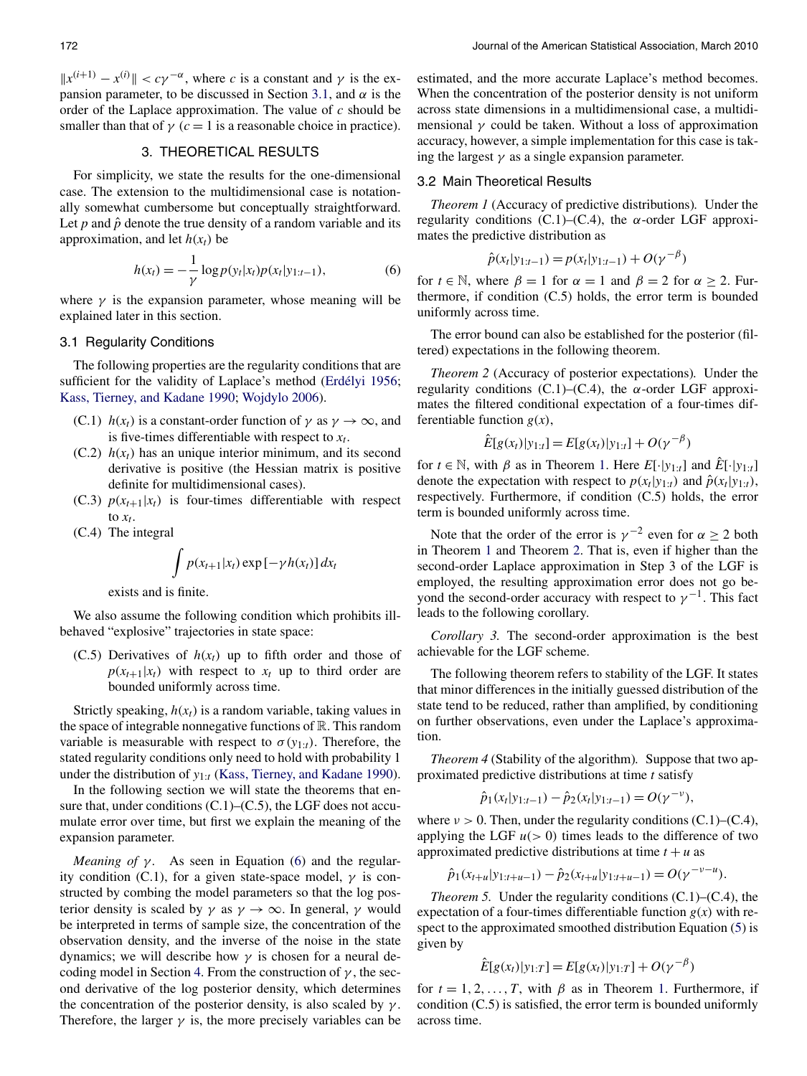<span id="page-2-0"></span> $||x^{(i+1)} - x^{(i)}|| < c\gamma^{-\alpha}$ , where *c* is a constant and  $\gamma$  is the expansion parameter, to be discussed in Section 3.1, and  $\alpha$  is the order of the Laplace approximation. The value of *c* should be smaller than that of  $\gamma$  ( $c = 1$  is a reasonable choice in practice).

# 3. THEORETICAL RESULTS

For simplicity, we state the results for the one-dimensional case. The extension to the multidimensional case is notationally somewhat cumbersome but conceptually straightforward. Let  $p$  and  $\hat{p}$  denote the true density of a random variable and its approximation, and let  $h(x_t)$  be

$$
h(x_t) = -\frac{1}{\gamma} \log p(y_t|x_t) p(x_t|y_{1:t-1}),
$$
\n(6)

where  $\gamma$  is the expansion parameter, whose meaning will be explained later in this section.

## 3.1 Regularity Conditions

The following properties are the regularity conditions that are sufficient for the validity of Laplace's method [\(Erdélyi 1956;](#page-9-0) [Kass, Tierney, and Kadane 1990;](#page-10-0) [Wojdylo 2006\)](#page-10-0).

- (C.1)  $h(x_t)$  is a constant-order function of  $\gamma$  as  $\gamma \to \infty$ , and is five-times differentiable with respect to  $x_t$ .
- $(C.2)$   $h(x_t)$  has an unique interior minimum, and its second derivative is positive (the Hessian matrix is positive definite for multidimensional cases).
- (C.3)  $p(x_{t+1}|x_t)$  is four-times differentiable with respect to  $x_t$ .

(C.4) The integral

$$
\int p(x_{t+1}|x_t) \exp[-\gamma h(x_t)] dx_t
$$

exists and is finite.

We also assume the following condition which prohibits illbehaved "explosive" trajectories in state space:

(C.5) Derivatives of  $h(x_t)$  up to fifth order and those of  $p(x_{t+1}|x_t)$  with respect to  $x_t$  up to third order are bounded uniformly across time.

Strictly speaking,  $h(x_t)$  is a random variable, taking values in the space of integrable nonnegative functions of  $\mathbb{R}$ . This random variable is measurable with respect to  $\sigma(y_{1:t})$ . Therefore, the stated regularity conditions only need to hold with probability 1 under the distribution of *y*1:*<sup>t</sup>* [\(Kass, Tierney, and Kadane 1990\)](#page-10-0).

In the following section we will state the theorems that ensure that, under conditions (C.1)–(C.5), the LGF does not accumulate error over time, but first we explain the meaning of the expansion parameter.

*Meaning of γ.* As seen in Equation (6) and the regularity condition (C.1), for a given state-space model,  $\gamma$  is constructed by combing the model parameters so that the log posterior density is scaled by  $\gamma$  as  $\gamma \to \infty$ . In general,  $\gamma$  would be interpreted in terms of sample size, the concentration of the observation density, and the inverse of the noise in the state dynamics; we will describe how *γ* is chosen for a neural decoding model in Section [4.](#page-3-0) From the construction of *γ* , the second derivative of the log posterior density, which determines the concentration of the posterior density, is also scaled by *γ* . Therefore, the larger  $\gamma$  is, the more precisely variables can be

estimated, and the more accurate Laplace's method becomes. When the concentration of the posterior density is not uniform across state dimensions in a multidimensional case, a multidimensional  $\gamma$  could be taken. Without a loss of approximation accuracy, however, a simple implementation for this case is taking the largest  $\gamma$  as a single expansion parameter.

# 3.2 Main Theoretical Results

*Theorem 1* (Accuracy of predictive distributions)*.* Under the regularity conditions (C.1)–(C.4), the *α*-order LGF approximates the predictive distribution as

$$
\hat{p}(x_t|y_{1:t-1}) = p(x_t|y_{1:t-1}) + O(\gamma^{-\beta})
$$

for  $t \in \mathbb{N}$ , where  $\beta = 1$  for  $\alpha = 1$  and  $\beta = 2$  for  $\alpha \ge 2$ . Furthermore, if condition (C.5) holds, the error term is bounded uniformly across time.

The error bound can also be established for the posterior (filtered) expectations in the following theorem.

*Theorem 2* (Accuracy of posterior expectations)*.* Under the regularity conditions (C.1)–(C.4), the *α*-order LGF approximates the filtered conditional expectation of a four-times differentiable function  $g(x)$ ,

$$
\hat{E}[g(x_t)|y_{1:t}] = E[g(x_t)|y_{1:t}] + O(\gamma^{-\beta})
$$

for  $t \in \mathbb{N}$ , with  $\beta$  as in Theorem 1. Here  $E[\cdot|y_{1:t}]$  and  $\hat{E}[\cdot|y_{1:t}]$ denote the expectation with respect to  $p(x_t|y_{1:t})$  and  $\hat{p}(x_t|y_{1:t})$ , respectively. Furthermore, if condition (C.5) holds, the error term is bounded uniformly across time.

Note that the order of the error is  $\gamma^{-2}$  even for  $\alpha \geq 2$  both in Theorem 1 and Theorem 2. That is, even if higher than the second-order Laplace approximation in Step 3 of the LGF is employed, the resulting approximation error does not go beyond the second-order accuracy with respect to  $\gamma^{-1}$ . This fact leads to the following corollary.

*Corollary 3.* The second-order approximation is the best achievable for the LGF scheme.

The following theorem refers to stability of the LGF. It states that minor differences in the initially guessed distribution of the state tend to be reduced, rather than amplified, by conditioning on further observations, even under the Laplace's approximation.

*Theorem 4* (Stability of the algorithm)*.* Suppose that two approximated predictive distributions at time *t* satisfy

$$
\hat{p}_1(x_t|y_{1:t-1}) - \hat{p}_2(x_t|y_{1:t-1}) = O(\gamma^{-\nu}),
$$

where  $\nu > 0$ . Then, under the regularity conditions (C.1)–(C.4), applying the LGF  $u(>0)$  times leads to the difference of two approximated predictive distributions at time  $t + u$  as

$$
\hat{p}_1(x_{t+u}|y_{1:t+u-1}) - \hat{p}_2(x_{t+u}|y_{1:t+u-1}) = O(\gamma^{-\nu-u}).
$$

*Theorem 5.* Under the regularity conditions (C.1)–(C.4), the expectation of a four-times differentiable function  $g(x)$  with respect to the approximated smoothed distribution Equation [\(5\)](#page-1-0) is given by

$$
\hat{E}[g(x_t)|y_{1:T}] = E[g(x_t)|y_{1:T}] + O(\gamma^{-\beta})
$$

for  $t = 1, 2, ..., T$ , with  $\beta$  as in Theorem 1. Furthermore, if condition (C.5) is satisfied, the error term is bounded uniformly across time.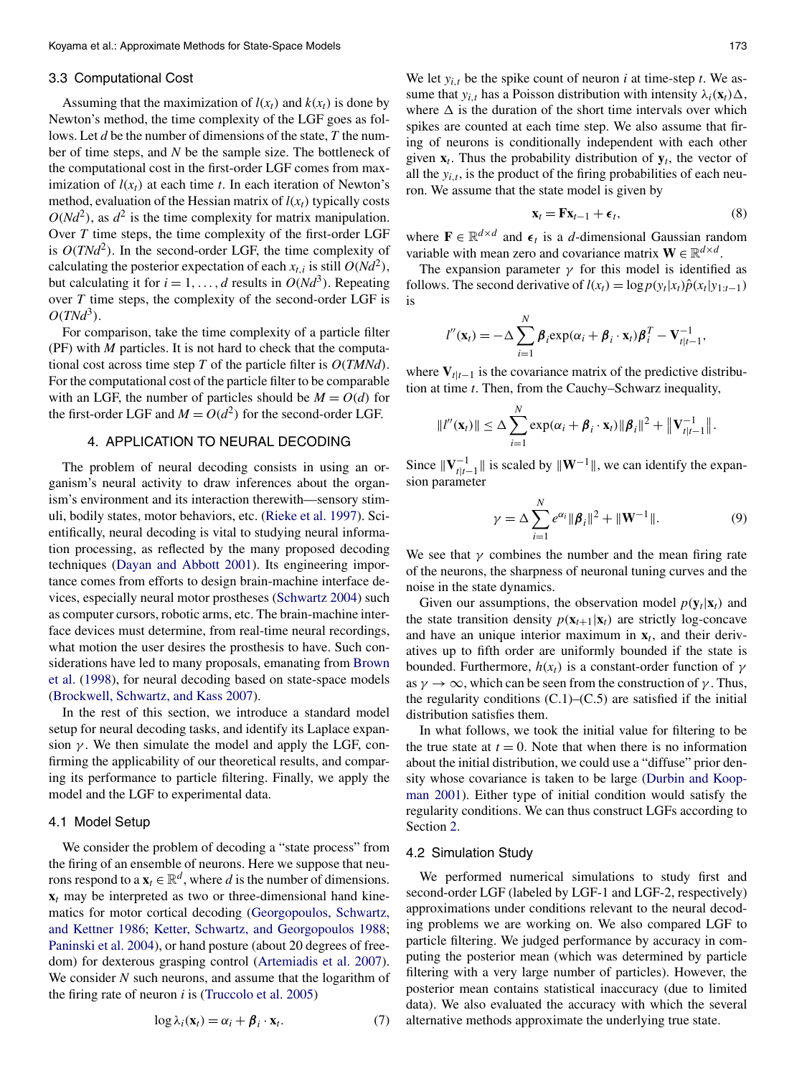#### <span id="page-3-0"></span>3.3 Computational Cost

Assuming that the maximization of  $l(x_t)$  and  $k(x_t)$  is done by Newton's method, the time complexity of the LGF goes as follows. Let *d* be the number of dimensions of the state, *T* the number of time steps, and *N* be the sample size. The bottleneck of the computational cost in the first-order LGF comes from maximization of  $l(x_t)$  at each time *t*. In each iteration of Newton's method, evaluation of the Hessian matrix of  $l(x_t)$  typically costs  $O(Nd^2)$ , as  $d^2$  is the time complexity for matrix manipulation. Over *T* time steps, the time complexity of the first-order LGF is  $O(TNd^2)$ . In the second-order LGF, the time complexity of calculating the posterior expectation of each  $x_{t,i}$  is still  $O(Nd^2)$ , but calculating it for  $i = 1, \ldots, d$  results in  $O(Nd^3)$ . Repeating over *T* time steps, the complexity of the second-order LGF is  $O(TNd^3)$ .

For comparison, take the time complexity of a particle filter (PF) with *M* particles. It is not hard to check that the computational cost across time step *T* of the particle filter is *O(TMNd)*. For the computational cost of the particle filter to be comparable with an LGF, the number of particles should be  $M = O(d)$  for the first-order LGF and  $M = O(d^2)$  for the second-order LGF.

## 4. APPLICATION TO NEURAL DECODING

The problem of neural decoding consists in using an organism's neural activity to draw inferences about the organism's environment and its interaction therewith—sensory stimuli, bodily states, motor behaviors, etc. [\(Rieke et al. 1997\)](#page-10-0). Scientifically, neural decoding is vital to studying neural information processing, as reflected by the many proposed decoding techniques [\(Dayan and Abbott 2001\)](#page-9-0). Its engineering importance comes from efforts to design brain-machine interface devices, especially neural motor prostheses [\(Schwartz 2004\)](#page-10-0) such as computer cursors, robotic arms, etc. The brain-machine interface devices must determine, from real-time neural recordings, what motion the user desires the prosthesis to have. Such considerations have led to many proposals, emanating from [Brown](#page-9-0) [et al.](#page-9-0) [\(1998\)](#page-9-0), for neural decoding based on state-space models [\(Brockwell, Schwartz, and Kass 2007\)](#page-9-0).

In the rest of this section, we introduce a standard model setup for neural decoding tasks, and identify its Laplace expansion  $\gamma$ . We then simulate the model and apply the LGF, confirming the applicability of our theoretical results, and comparing its performance to particle filtering. Finally, we apply the model and the LGF to experimental data.

### 4.1 Model Setup

We consider the problem of decoding a "state process" from the firing of an ensemble of neurons. Here we suppose that neurons respond to a  $\mathbf{x}_t \in \mathbb{R}^d$ , where *d* is the number of dimensions.  $x_t$  may be interpreted as two or three-dimensional hand kinematics for motor cortical decoding [\(Georgopoulos, Schwartz,](#page-10-0) [and Kettner 1986;](#page-10-0) [Ketter, Schwartz, and Georgopoulos 1988;](#page-10-0) [Paninski et al. 2004\)](#page-10-0), or hand posture (about 20 degrees of freedom) for dexterous grasping control [\(Artemiadis et al. 2007\)](#page-9-0). We consider *N* such neurons, and assume that the logarithm of the firing rate of neuron *i* is [\(Truccolo et al. 2005\)](#page-10-0)

$$
\log \lambda_i(\mathbf{x}_t) = \alpha_i + \boldsymbol{\beta}_i \cdot \mathbf{x}_t. \tag{7}
$$

We let  $y_{i,t}$  be the spike count of neuron *i* at time-step *t*. We assume that  $y_{i,t}$  has a Poisson distribution with intensity  $\lambda_i(\mathbf{x}_t) \Delta$ , where  $\Delta$  is the duration of the short time intervals over which spikes are counted at each time step. We also assume that firing of neurons is conditionally independent with each other given  $\mathbf{x}_t$ . Thus the probability distribution of  $\mathbf{y}_t$ , the vector of all the  $y_{i,t}$ , is the product of the firing probabilities of each neuron. We assume that the state model is given by

$$
\mathbf{x}_t = \mathbf{F} \mathbf{x}_{t-1} + \boldsymbol{\epsilon}_t,\tag{8}
$$

where  $\mathbf{F} \in \mathbb{R}^{d \times d}$  and  $\epsilon_t$  is a *d*-dimensional Gaussian random variable with mean zero and covariance matrix  $\mathbf{W} \in \mathbb{R}^{d \times d}$ .

The expansion parameter  $\gamma$  for this model is identified as follows. The second derivative of  $l(x_t) = \log p(y_t|x_t) \hat{p}(x_t|y_{1:t-1})$ is

$$
l''(\mathbf{x}_t) = -\Delta \sum_{i=1}^N \boldsymbol{\beta}_i \exp(\alpha_i + \boldsymbol{\beta}_i \cdot \mathbf{x}_t) \boldsymbol{\beta}_i^T - \mathbf{V}_{t|t-1}^{-1},
$$

where  $V_{t|t-1}$  is the covariance matrix of the predictive distribution at time *t*. Then, from the Cauchy–Schwarz inequality,

$$
||l''(\mathbf{x}_t)|| \leq \Delta \sum_{i=1}^N \exp(\alpha_i + \boldsymbol{\beta}_i \cdot \mathbf{x}_t) ||\boldsymbol{\beta}_i||^2 + ||\mathbf{V}_{t|t-1}^{-1}||.
$$

Since  $\|\mathbf{V}_{t|t-1}^{-1}\|$  is scaled by  $\|\mathbf{W}^{-1}\|$ , we can identify the expansion parameter

$$
\gamma = \Delta \sum_{i=1}^{N} e^{\alpha_i} ||\beta_i||^2 + ||\mathbf{W}^{-1}||. \tag{9}
$$

We see that  $\gamma$  combines the number and the mean firing rate of the neurons, the sharpness of neuronal tuning curves and the noise in the state dynamics.

Given our assumptions, the observation model  $p(\mathbf{y}_t|\mathbf{x}_t)$  and the state transition density  $p(\mathbf{x}_{t+1}|\mathbf{x}_t)$  are strictly log-concave and have an unique interior maximum in  $x_t$ , and their derivatives up to fifth order are uniformly bounded if the state is bounded. Furthermore,  $h(x_t)$  is a constant-order function of γ as  $\gamma \to \infty$ , which can be seen from the construction of  $\gamma$ . Thus, the regularity conditions  $(C.1)$ – $(C.5)$  are satisfied if the initial distribution satisfies them.

In what follows, we took the initial value for filtering to be the true state at  $t = 0$ . Note that when there is no information about the initial distribution, we could use a "diffuse" prior density whose covariance is taken to be large [\(Durbin and Koop](#page-9-0)[man 2001\)](#page-9-0). Either type of initial condition would satisfy the regularity conditions. We can thus construct LGFs according to Section [2.](#page-1-0)

#### 4.2 Simulation Study

We performed numerical simulations to study first and second-order LGF (labeled by LGF-1 and LGF-2, respectively) approximations under conditions relevant to the neural decoding problems we are working on. We also compared LGF to particle filtering. We judged performance by accuracy in computing the posterior mean (which was determined by particle filtering with a very large number of particles). However, the posterior mean contains statistical inaccuracy (due to limited data). We also evaluated the accuracy with which the several alternative methods approximate the underlying true state.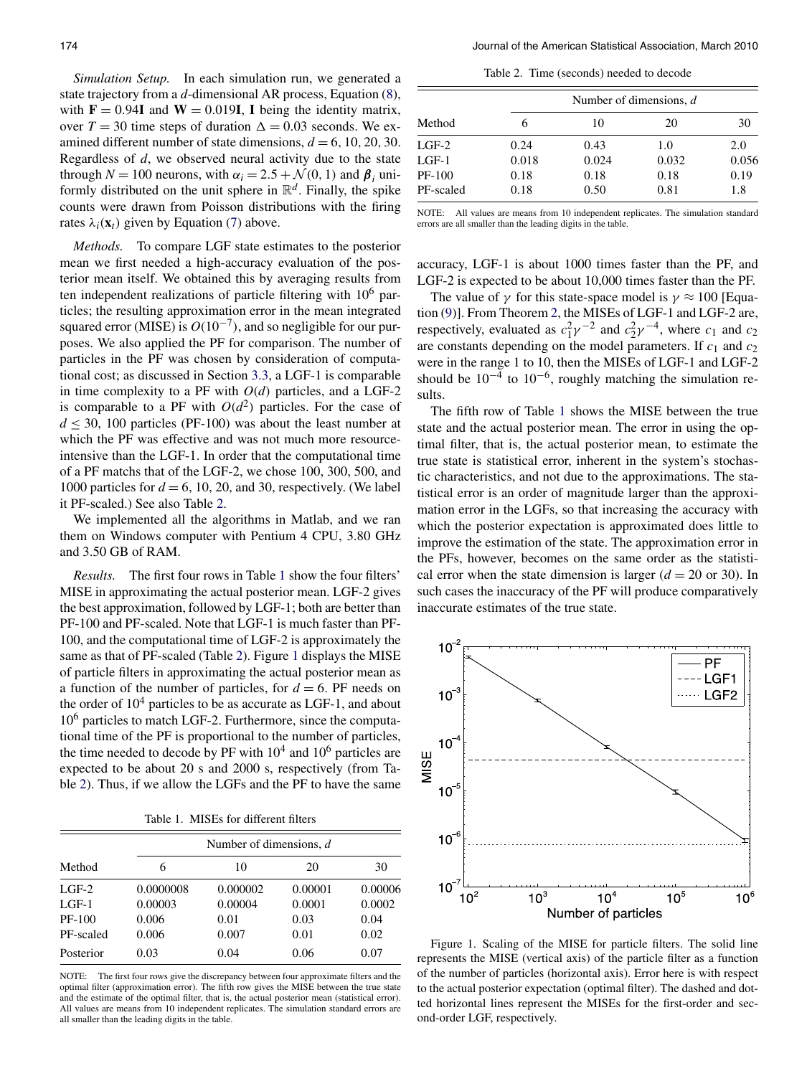<span id="page-4-0"></span>*Simulation Setup.* In each simulation run, we generated a state trajectory from a *d*-dimensional AR process, Equation [\(8\)](#page-3-0), with  $\mathbf{F} = 0.94\mathbf{I}$  and  $\mathbf{W} = 0.019\mathbf{I}$ , **I** being the identity matrix, over  $T = 30$  time steps of duration  $\Delta = 0.03$  seconds. We examined different number of state dimensions,  $d = 6, 10, 20, 30$ . Regardless of *d*, we observed neural activity due to the state through  $N = 100$  neurons, with  $\alpha_i = 2.5 + \mathcal{N}(0, 1)$  and  $\beta_i$  uniformly distributed on the unit sphere in  $\mathbb{R}^d$ . Finally, the spike counts were drawn from Poisson distributions with the firing rates  $\lambda_i(\mathbf{x}_t)$  given by Equation [\(7\)](#page-3-0) above.

*Methods.* To compare LGF state estimates to the posterior mean we first needed a high-accuracy evaluation of the posterior mean itself. We obtained this by averaging results from ten independent realizations of particle filtering with 10<sup>6</sup> particles; the resulting approximation error in the mean integrated squared error (MISE) is  $O(10^{-7})$ , and so negligible for our purposes. We also applied the PF for comparison. The number of particles in the PF was chosen by consideration of computational cost; as discussed in Section [3.3,](#page-3-0) a LGF-1 is comparable in time complexity to a PF with  $O(d)$  particles, and a LGF-2 is comparable to a PF with  $O(d^2)$  particles. For the case of  $d \leq 30$ , 100 particles (PF-100) was about the least number at which the PF was effective and was not much more resourceintensive than the LGF-1. In order that the computational time of a PF matchs that of the LGF-2, we chose 100, 300, 500, and 1000 particles for  $d = 6$ , 10, 20, and 30, respectively. (We label it PF-scaled.) See also Table 2.

We implemented all the algorithms in Matlab, and we ran them on Windows computer with Pentium 4 CPU, 3.80 GHz and 3.50 GB of RAM.

*Results.* The first four rows in Table 1 show the four filters' MISE in approximating the actual posterior mean. LGF-2 gives the best approximation, followed by LGF-1; both are better than PF-100 and PF-scaled. Note that LGF-1 is much faster than PF-100, and the computational time of LGF-2 is approximately the same as that of PF-scaled (Table 2). Figure 1 displays the MISE of particle filters in approximating the actual posterior mean as a function of the number of particles, for  $d = 6$ . PF needs on the order of  $10<sup>4</sup>$  particles to be as accurate as LGF-1, and about 10<sup>6</sup> particles to match LGF-2. Furthermore, since the computational time of the PF is proportional to the number of particles, the time needed to decode by PF with  $10^4$  and  $10^6$  particles are expected to be about 20 s and 2000 s, respectively (from Table 2). Thus, if we allow the LGFs and the PF to have the same

Table 1. MISEs for different filters

| Method    | Number of dimensions, $d$ |          |         |         |  |
|-----------|---------------------------|----------|---------|---------|--|
|           | 6                         | 10       | 20      | 30      |  |
| $LGF-2$   | 0.0000008                 | 0.000002 | 0.00001 | 0.00006 |  |
| $LGF-1$   | 0.00003                   | 0.00004  | 0.0001  | 0.0002  |  |
| $PF-100$  | 0.006                     | 0.01     | 0.03    | 0.04    |  |
| PF-scaled | 0.006                     | 0.007    | 0.01    | 0.02    |  |
| Posterior | 0.03                      | 0.04     | 0.06    | 0.07    |  |

NOTE: The first four rows give the discrepancy between four approximate filters and the optimal filter (approximation error). The fifth row gives the MISE between the true state and the estimate of the optimal filter, that is, the actual posterior mean (statistical error). All values are means from 10 independent replicates. The simulation standard errors are all smaller than the leading digits in the table.

Table 2. Time (seconds) needed to decode

| Method    | Number of dimensions, $d$ |       |       |       |
|-----------|---------------------------|-------|-------|-------|
|           |                           | 10    | 20    | 30    |
| $LGF-2$   | 0.24                      | 0.43  | 1.0   | 2.0   |
| $LGF-1$   | 0.018                     | 0.024 | 0.032 | 0.056 |
| PF-100    | 0.18                      | 0.18  | 0.18  | 0.19  |
| PF-scaled | 0.18                      | 0.50  | 0.81  | 1.8   |

NOTE: All values are means from 10 independent replicates. The simulation standard errors are all smaller than the leading digits in the table.

accuracy, LGF-1 is about 1000 times faster than the PF, and LGF-2 is expected to be about 10,000 times faster than the PF.

The value of  $\gamma$  for this state-space model is  $\gamma \approx 100$  [Equation [\(9\)](#page-3-0)]. From Theorem [2,](#page-2-0) the MISEs of LGF-1 and LGF-2 are, respectively, evaluated as  $c_1^2 \gamma^{-2}$  and  $c_2^2 \gamma^{-4}$ , where  $c_1$  and  $c_2$ are constants depending on the model parameters. If  $c_1$  and  $c_2$ were in the range 1 to 10, then the MISEs of LGF-1 and LGF-2 should be  $10^{-4}$  to  $10^{-6}$ , roughly matching the simulation results.

The fifth row of Table 1 shows the MISE between the true state and the actual posterior mean. The error in using the optimal filter, that is, the actual posterior mean, to estimate the true state is statistical error, inherent in the system's stochastic characteristics, and not due to the approximations. The statistical error is an order of magnitude larger than the approximation error in the LGFs, so that increasing the accuracy with which the posterior expectation is approximated does little to improve the estimation of the state. The approximation error in the PFs, however, becomes on the same order as the statistical error when the state dimension is larger  $(d = 20 \text{ or } 30)$ . In such cases the inaccuracy of the PF will produce comparatively inaccurate estimates of the true state.



Figure 1. Scaling of the MISE for particle filters. The solid line represents the MISE (vertical axis) of the particle filter as a function of the number of particles (horizontal axis). Error here is with respect to the actual posterior expectation (optimal filter). The dashed and dotted horizontal lines represent the MISEs for the first-order and second-order LGF, respectively.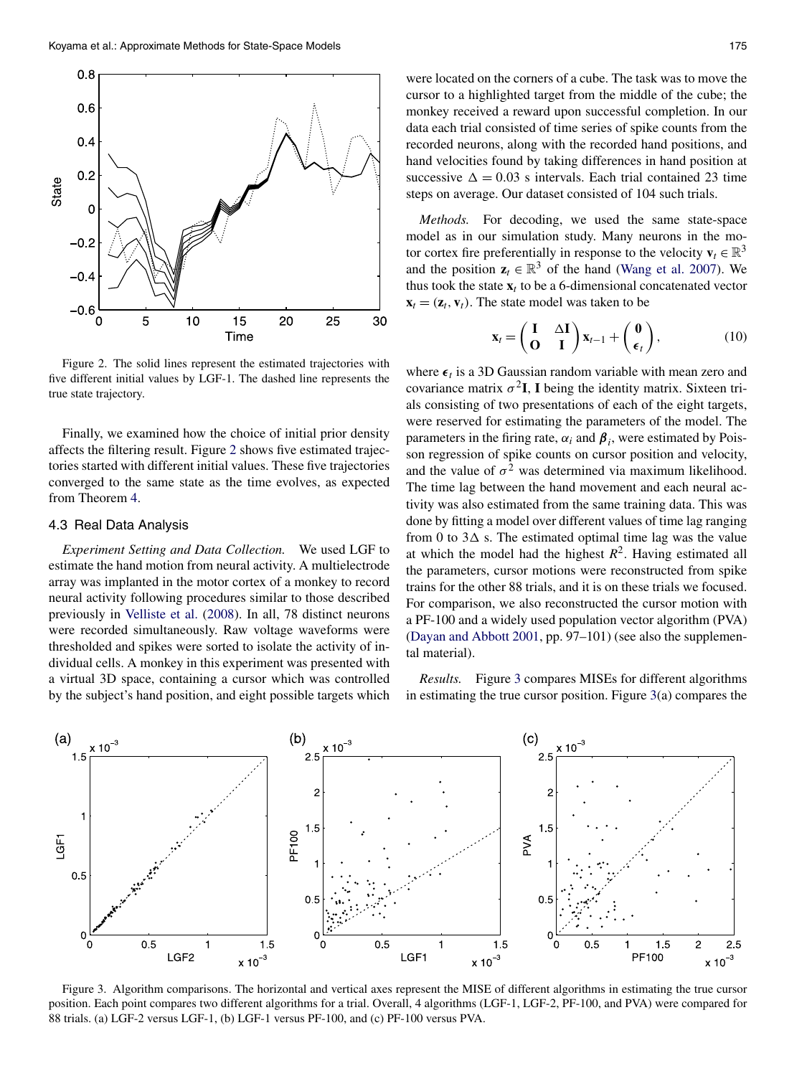<span id="page-5-0"></span>

Figure 2. The solid lines represent the estimated trajectories with five different initial values by LGF-1. The dashed line represents the true state trajectory.

Finally, we examined how the choice of initial prior density affects the filtering result. Figure 2 shows five estimated trajectories started with different initial values. These five trajectories converged to the same state as the time evolves, as expected from Theorem [4.](#page-2-0)

## 4.3 Real Data Analysis

*Experiment Setting and Data Collection.* We used LGF to estimate the hand motion from neural activity. A multielectrode array was implanted in the motor cortex of a monkey to record neural activity following procedures similar to those described previously in [Velliste et al.](#page-10-0) [\(2008\)](#page-10-0). In all, 78 distinct neurons were recorded simultaneously. Raw voltage waveforms were thresholded and spikes were sorted to isolate the activity of individual cells. A monkey in this experiment was presented with a virtual 3D space, containing a cursor which was controlled by the subject's hand position, and eight possible targets which were located on the corners of a cube. The task was to move the cursor to a highlighted target from the middle of the cube; the monkey received a reward upon successful completion. In our data each trial consisted of time series of spike counts from the recorded neurons, along with the recorded hand positions, and hand velocities found by taking differences in hand position at successive  $\Delta = 0.03$  s intervals. Each trial contained 23 time steps on average. Our dataset consisted of 104 such trials.

*Methods.* For decoding, we used the same state-space model as in our simulation study. Many neurons in the motor cortex fire preferentially in response to the velocity  $\mathbf{v}_t \in \mathbb{R}^3$ and the position  $z_t \in \mathbb{R}^3$  of the hand [\(Wang et al. 2007\)](#page-10-0). We thus took the state  $\mathbf{x}_t$  to be a 6-dimensional concatenated vector  $\mathbf{x}_t = (\mathbf{z}_t, \mathbf{v}_t)$ . The state model was taken to be

$$
\mathbf{x}_{t} = \begin{pmatrix} \mathbf{I} & \Delta \mathbf{I} \\ \mathbf{O} & \mathbf{I} \end{pmatrix} \mathbf{x}_{t-1} + \begin{pmatrix} \mathbf{0} \\ \boldsymbol{\epsilon}_{t} \end{pmatrix}, \tag{10}
$$

where  $\epsilon_t$  is a 3D Gaussian random variable with mean zero and covariance matrix  $\sigma^2 I$ , I being the identity matrix. Sixteen trials consisting of two presentations of each of the eight targets, were reserved for estimating the parameters of the model. The parameters in the firing rate,  $\alpha_i$  and  $\beta_i$ , were estimated by Poisson regression of spike counts on cursor position and velocity, and the value of  $\sigma^2$  was determined via maximum likelihood. The time lag between the hand movement and each neural activity was also estimated from the same training data. This was done by fitting a model over different values of time lag ranging from 0 to  $3\Delta$  s. The estimated optimal time lag was the value at which the model had the highest  $R^2$ . Having estimated all the parameters, cursor motions were reconstructed from spike trains for the other 88 trials, and it is on these trials we focused. For comparison, we also reconstructed the cursor motion with a PF-100 and a widely used population vector algorithm (PVA) [\(Dayan and Abbott 2001,](#page-9-0) pp. 97–101) (see also the supplemental material).

*Results.* Figure 3 compares MISEs for different algorithms in estimating the true cursor position. Figure 3(a) compares the



Figure 3. Algorithm comparisons. The horizontal and vertical axes represent the MISE of different algorithms in estimating the true cursor position. Each point compares two different algorithms for a trial. Overall, 4 algorithms (LGF-1, LGF-2, PF-100, and PVA) were compared for 88 trials. (a) LGF-2 versus LGF-1, (b) LGF-1 versus PF-100, and (c) PF-100 versus PVA.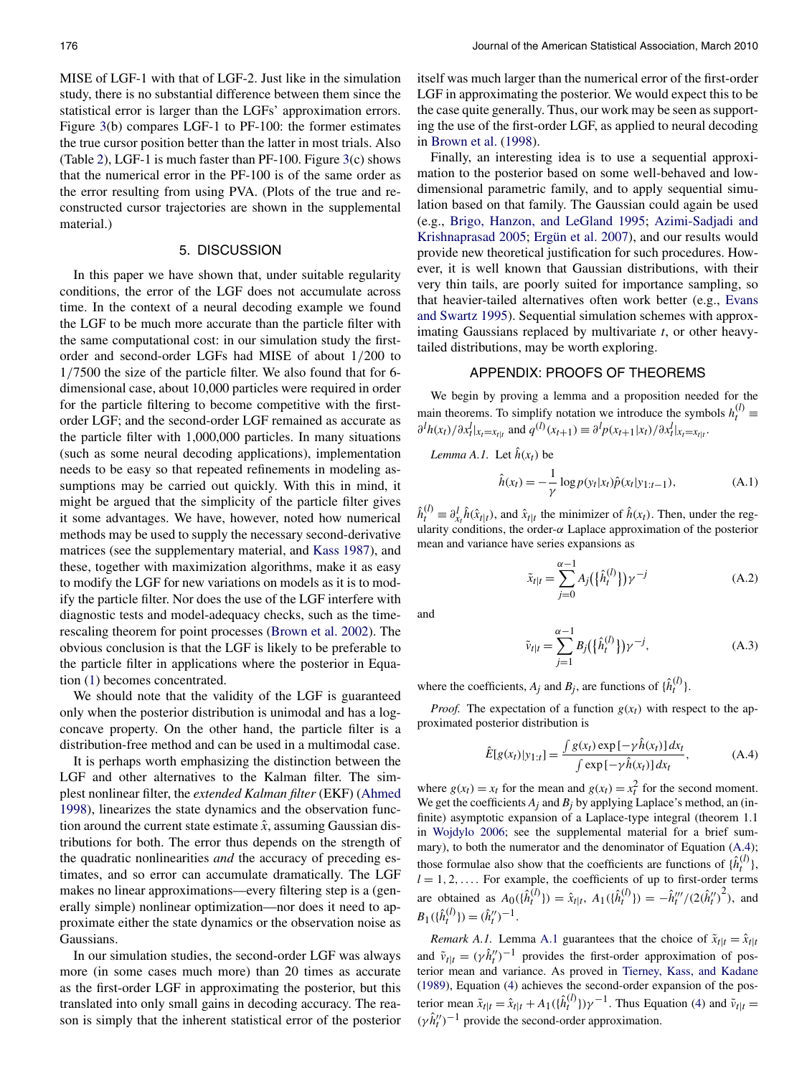<span id="page-6-0"></span>MISE of LGF-1 with that of LGF-2. Just like in the simulation study, there is no substantial difference between them since the statistical error is larger than the LGFs' approximation errors. Figure [3\(](#page-5-0)b) compares LGF-1 to PF-100: the former estimates the true cursor position better than the latter in most trials. Also (Table [2\)](#page-4-0), LGF-1 is much faster than PF-100. Figure [3\(](#page-5-0)c) shows that the numerical error in the PF-100 is of the same order as the error resulting from using PVA. (Plots of the true and reconstructed cursor trajectories are shown in the supplemental material.)

## 5. DISCUSSION

In this paper we have shown that, under suitable regularity conditions, the error of the LGF does not accumulate across time. In the context of a neural decoding example we found the LGF to be much more accurate than the particle filter with the same computational cost: in our simulation study the firstorder and second-order LGFs had MISE of about 1*/*200 to 1*/*7500 the size of the particle filter. We also found that for 6 dimensional case, about 10,000 particles were required in order for the particle filtering to become competitive with the firstorder LGF; and the second-order LGF remained as accurate as the particle filter with 1,000,000 particles. In many situations (such as some neural decoding applications), implementation needs to be easy so that repeated refinements in modeling assumptions may be carried out quickly. With this in mind, it might be argued that the simplicity of the particle filter gives it some advantages. We have, however, noted how numerical methods may be used to supply the necessary second-derivative matrices (see the supplementary material, and [Kass 1987\)](#page-10-0), and these, together with maximization algorithms, make it as easy to modify the LGF for new variations on models as it is to modify the particle filter. Nor does the use of the LGF interfere with diagnostic tests and model-adequacy checks, such as the timerescaling theorem for point processes [\(Brown et al. 2002\)](#page-9-0). The obvious conclusion is that the LGF is likely to be preferable to the particle filter in applications where the posterior in Equation [\(1\)](#page-0-0) becomes concentrated.

We should note that the validity of the LGF is guaranteed only when the posterior distribution is unimodal and has a logconcave property. On the other hand, the particle filter is a distribution-free method and can be used in a multimodal case.

It is perhaps worth emphasizing the distinction between the LGF and other alternatives to the Kalman filter. The simplest nonlinear filter, the *extended Kalman filter* (EKF) [\(Ahmed](#page-9-0) [1998\)](#page-9-0), linearizes the state dynamics and the observation function around the current state estimate  $\hat{x}$ , assuming Gaussian distributions for both. The error thus depends on the strength of the quadratic nonlinearities *and* the accuracy of preceding estimates, and so error can accumulate dramatically. The LGF makes no linear approximations—every filtering step is a (generally simple) nonlinear optimization—nor does it need to approximate either the state dynamics or the observation noise as Gaussians.

In our simulation studies, the second-order LGF was always more (in some cases much more) than 20 times as accurate as the first-order LGF in approximating the posterior, but this translated into only small gains in decoding accuracy. The reason is simply that the inherent statistical error of the posterior

itself was much larger than the numerical error of the first-order LGF in approximating the posterior. We would expect this to be the case quite generally. Thus, our work may be seen as supporting the use of the first-order LGF, as applied to neural decoding in [Brown et al.](#page-9-0) [\(1998\)](#page-9-0).

Finally, an interesting idea is to use a sequential approximation to the posterior based on some well-behaved and lowdimensional parametric family, and to apply sequential simulation based on that family. The Gaussian could again be used (e.g., [Brigo, Hanzon, and LeGland 1995;](#page-9-0) [Azimi-Sadjadi and](#page-9-0) [Krishnaprasad 2005;](#page-9-0) [Ergün et al. 2007\)](#page-9-0), and our results would provide new theoretical justification for such procedures. However, it is well known that Gaussian distributions, with their very thin tails, are poorly suited for importance sampling, so that heavier-tailed alternatives often work better (e.g., [Evans](#page-9-0) [and Swartz 1995\)](#page-9-0). Sequential simulation schemes with approximating Gaussians replaced by multivariate *t*, or other heavytailed distributions, may be worth exploring.

## APPENDIX: PROOFS OF THEOREMS

We begin by proving a lemma and a proposition needed for the main theorems. To simplify notation we introduce the symbols  $h_t^{(l)}$   $\equiv$  $\partial^l h(x_t) / \partial x_t^l |_{x_t = x_{t|t}}$  and  $q^{(l)}(x_{t+1}) \equiv \partial^l p(x_{t+1} | x_t) / \partial x_t^l |_{x_t = x_{t|t}}$ .

Lemma A.1. Let 
$$
\hat{h}(x_t)
$$
 be  
\n
$$
\hat{h}(x_t) = -\frac{1}{\gamma} \log p(y_t|x_t) \hat{p}(x_t|y_{1:t-1}),
$$
\n(A.1)

 $\hat{h}_t^{(l)} \equiv \partial_{x_l}^l \hat{h}(\hat{x}_{t|t})$ , and  $\hat{x}_{t|t}$  the minimizer of  $\hat{h}(x_t)$ . Then, under the regularity conditions, the order-*α* Laplace approximation of the posterior mean and variance have series expansions as

$$
\tilde{x}_{t|t} = \sum_{j=0}^{\alpha - 1} A_j(\{\hat{h}_t^{(l)}\}) \gamma^{-j}
$$
\n(A.2)

and

$$
\tilde{v}_{t|t} = \sum_{j=1}^{\alpha - 1} B_j(\{\hat{h}_t^{(l)}\}) \gamma^{-j},
$$
\n(A.3)

where the coefficients,  $A_j$  and  $B_j$ , are functions of  $\{\hat{h}_t^{(l)}\}$ .

*Proof.* The expectation of a function  $g(x_t)$  with respect to the approximated posterior distribution is

$$
\hat{E}[g(x_t)|y_{1:t}] = \frac{\int g(x_t) \exp[-\gamma \hat{h}(x_t)] dx_t}{\int \exp[-\gamma \hat{h}(x_t)] dx_t},
$$
\n(A.4)

where  $g(x_t) = x_t$  for the mean and  $g(x_t) = x_t^2$  for the second moment. We get the coefficients  $A_i$  and  $B_j$  by applying Laplace's method, an (infinite) asymptotic expansion of a Laplace-type integral (theorem 1.1 in [Wojdylo 2006;](#page-10-0) see the supplemental material for a brief summary), to both the numerator and the denominator of Equation (A.4); those formulae also show that the coefficients are functions of  $\{\hat{h}_t^{(l)}\}$ ,  $l = 1, 2, \ldots$  For example, the coefficients of up to first-order terms are obtained as  $A_0(\{\hat{h}_t^{(l)}\}) = \hat{x}_{t|t}, A_1(\{\hat{h}_t^{(l)}\}) = -\hat{h}_t'''/(2(\hat{h}_t'')^2)$ , and  $B_1(\{\hat{h}_t^{(l)}\}) = (\hat{h}_t'')^{-1}.$ 

*Remark A.1.* Lemma A.1 guarantees that the choice of  $\tilde{x}_{t|t} = \hat{x}_{t|t}$ and  $\tilde{v}_{t|t} = (\gamma \hat{h}_t'')^{-1}$  provides the first-order approximation of posterior mean and variance. As proved in [Tierney, Kass, and Kadane](#page-10-0) [\(1989\)](#page-10-0), Equation [\(4\)](#page-1-0) achieves the second-order expansion of the posterior mean  $\tilde{x}_{t|t} = \hat{x}_{t|t} + A_1(\{\hat{h}_t^{(l)}\}) \gamma^{-1}$ . Thus Equation [\(4\)](#page-1-0) and  $\tilde{v}_{t|t} =$  $(\gamma \hat{h}^{\prime\prime}_t)^{-1}$  provide the second-order approximation.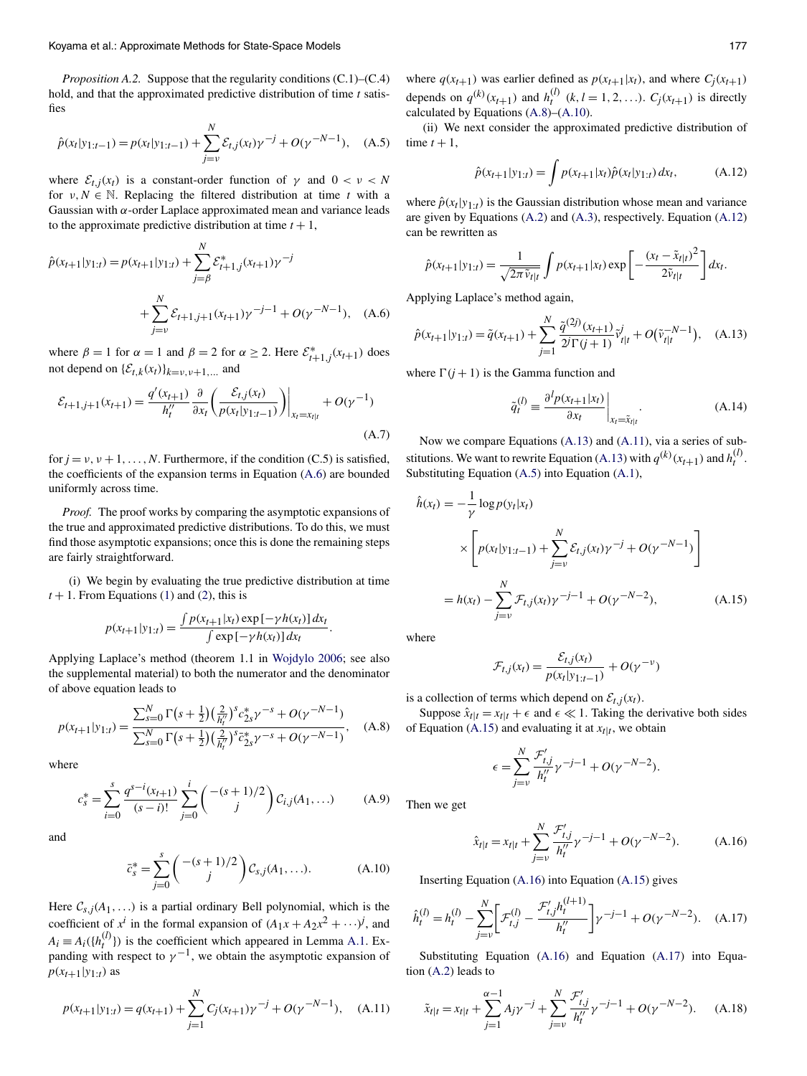<span id="page-7-0"></span>*Proposition A.2.* Suppose that the regularity conditions (C.1)–(C.4) hold, and that the approximated predictive distribution of time *t* satisfies

$$
\hat{p}(x_t|y_{1:t-1}) = p(x_t|y_{1:t-1}) + \sum_{j=v}^{N} \mathcal{E}_{t,j}(x_t) \gamma^{-j} + O(\gamma^{-N-1}), \quad (A.5)
$$

where  $\mathcal{E}_{t,j}(x_t)$  is a constant-order function of  $\gamma$  and  $0 < \nu < N$ for  $v, N \in \mathbb{N}$ . Replacing the filtered distribution at time *t* with a Gaussian with *α*-order Laplace approximated mean and variance leads to the approximate predictive distribution at time  $t + 1$ ,

$$
\hat{p}(x_{t+1}|y_{1:t}) = p(x_{t+1}|y_{1:t}) + \sum_{j=\beta}^{N} \mathcal{E}_{t+1,j}^*(x_{t+1})\gamma^{-j} + \sum_{j=\nu}^{N} \mathcal{E}_{t+1,j+1}(x_{t+1})\gamma^{-j-1} + O(\gamma^{-N-1}), \quad (A.6)
$$

where  $\beta = 1$  for  $\alpha = 1$  and  $\beta = 2$  for  $\alpha \ge 2$ . Here  $\mathcal{E}_{t+1,j}^*(x_{t+1})$  does not depend on  $\{\mathcal{E}_{t,k}(x_t)\}_{k=v, v+1,...}$  and

$$
\mathcal{E}_{t+1,j+1}(x_{t+1}) = \frac{q'(x_{t+1})}{h_t''} \frac{\partial}{\partial x_t} \left( \frac{\mathcal{E}_{t,j}(x_t)}{p(x_t|y_{1:t-1})} \right) \Big|_{x_t = x_{t|t}} + O(\gamma^{-1})
$$
\n(A.7)

for  $j = v, v + 1, \ldots, N$ . Furthermore, if the condition (C.5) is satisfied, the coefficients of the expansion terms in Equation (A.6) are bounded uniformly across time.

*Proof.* The proof works by comparing the asymptotic expansions of the true and approximated predictive distributions. To do this, we must find those asymptotic expansions; once this is done the remaining steps are fairly straightforward.

(i) We begin by evaluating the true predictive distribution at time  $t + 1$ . From Equations [\(1\)](#page-0-0) and [\(2\)](#page-0-0), this is

$$
p(x_{t+1}|y_{1:t}) = \frac{\int p(x_{t+1}|x_t) \exp[-\gamma h(x_t)] dx_t}{\int \exp[-\gamma h(x_t)] dx_t}
$$

Applying Laplace's method (theorem 1.1 in [Wojdylo 2006;](#page-10-0) see also the supplemental material) to both the numerator and the denominator of above equation leads to

$$
p(x_{t+1}|y_{1:t}) = \frac{\sum_{s=0}^{N} \Gamma(s + \frac{1}{2}) \left(\frac{2}{h_t''}\right)^s c_{2s}^* \gamma^{-s} + O(\gamma^{-N-1})}{\sum_{s=0}^{N} \Gamma(s + \frac{1}{2}) \left(\frac{2}{h_t''}\right)^s \bar{c}_{2s}^* \gamma^{-s} + O(\gamma^{-N-1})}, \quad (A.8)
$$

where

$$
c_s^* = \sum_{i=0}^s \frac{q^{s-i}(x_{t+1})}{(s-i)!} \sum_{j=0}^i \binom{-(s+1)/2}{j} C_{i,j}(A_1, \dots) \tag{A.9}
$$

and

$$
\bar{c}_s^* = \sum_{j=0}^s \binom{-(s+1)/2}{j} \mathcal{C}_{s,j}(A_1, \ldots). \tag{A.10}
$$

Here  $C_{s,j}(A_1,...)$  is a partial ordinary Bell polynomial, which is the coefficient of  $x^i$  in the formal expansion of  $(A_1x + A_2x^2 + \cdots)^j$ , and  $A_i \equiv A_i({h_t^{(l)}})$  is the coefficient which appeared in Lemma [A.1.](#page-6-0) Expanding with respect to  $\gamma^{-1}$ , we obtain the asymptotic expansion of  $p(x_{t+1}|y_{1:t})$  as

$$
p(x_{t+1}|y_{1:t}) = q(x_{t+1}) + \sum_{j=1}^{N} C_j(x_{t+1})\gamma^{-j} + O(\gamma^{-N-1}), \quad (A.11)
$$

where  $q(x_{t+1})$  was earlier defined as  $p(x_{t+1}|x_t)$ , and where  $C_i(x_{t+1})$ depends on  $q^{(k)}(x_{t+1})$  and  $h_t^{(l)}$   $(k, l = 1, 2, ...)$ .  $C_j(x_{t+1})$  is directly calculated by Equations (A.8)–(A.10).

(ii) We next consider the approximated predictive distribution of time  $t + 1$ ,

$$
\hat{p}(x_{t+1}|y_{1:t}) = \int p(x_{t+1}|x_t)\hat{p}(x_t|y_{1:t}) dx_t, \tag{A.12}
$$

where  $\hat{p}(x_t|y_{1:t})$  is the Gaussian distribution whose mean and variance are given by Equations [\(A.2\)](#page-6-0) and [\(A.3\)](#page-6-0), respectively. Equation (A.12) can be rewritten as

$$
\hat{p}(x_{t+1}|y_{1:t}) = \frac{1}{\sqrt{2\pi \tilde{v}_{t|t}}} \int p(x_{t+1}|x_t) \exp\left[-\frac{(x_t - \tilde{x}_{t|t})^2}{2\tilde{v}_{t|t}}\right] dx_t.
$$

Applying Laplace's method again,

$$
\hat{p}(x_{t+1}|y_{1:t}) = \tilde{q}(x_{t+1}) + \sum_{j=1}^{N} \frac{\tilde{q}^{(2j)}(x_{t+1})}{2^j \Gamma(j+1)} \tilde{v}_{t|t}^j + O(\tilde{v}_{t|t}^{-N-1}), \quad (A.13)
$$

where  $\Gamma(j + 1)$  is the Gamma function and

$$
\tilde{q}_t^{(l)} \equiv \frac{\partial^l p(x_{t+1}|x_t)}{\partial x_t}\bigg|_{x_t = \tilde{x}_{t|t}}.\tag{A.14}
$$

Now we compare Equations (A.13) and (A.11), via a series of substitutions. We want to rewrite Equation (A.13) with  $q^{(k)}(x_{t+1})$  and  $h_t^{(l)}$ . Substituting Equation (A.5) into Equation [\(A.1\)](#page-6-0),

$$
\hat{h}(x_t) = -\frac{1}{\gamma} \log p(y_t|x_t)
$$
\n
$$
\times \left[ p(x_t|y_{1:t-1}) + \sum_{j=v}^{N} \mathcal{E}_{t,j}(x_t) \gamma^{-j} + O(\gamma^{-N-1}) \right]
$$
\n
$$
= h(x_t) - \sum_{j=v}^{N} \mathcal{F}_{t,j}(x_t) \gamma^{-j-1} + O(\gamma^{-N-2}), \tag{A.15}
$$

where

*.*

$$
\mathcal{F}_{t,j}(x_t) = \frac{\mathcal{E}_{t,j}(x_t)}{p(x_t|y_{1:t-1})} + O(\gamma^{-\nu})
$$

is a collection of terms which depend on  $\mathcal{E}_{t,i}(x_t)$ .

Suppose  $\hat{x}_{t|t} = x_{t|t} + \epsilon$  and  $\epsilon \ll 1$ . Taking the derivative both sides of Equation (A.15) and evaluating it at  $x_{t|t}$ , we obtain

$$
\epsilon = \sum_{j=v}^{N} \frac{\mathcal{F}'_{t,j}}{h''_t} \gamma^{-j-1} + O(\gamma^{-N-2}).
$$

Then we get

$$
\hat{x}_{t|t} = x_{t|t} + \sum_{j=v}^{N} \frac{\mathcal{F}'_{t,j}}{h''_t} \gamma^{-j-1} + O(\gamma^{-N-2}).
$$
\n(A.16)

Inserting Equation (A.16) into Equation (A.15) gives

$$
\hat{h}_t^{(l)} = h_t^{(l)} - \sum_{j=v}^{N} \left[ \mathcal{F}_{t,j}^{(l)} - \frac{\mathcal{F}_{t,j}' h_t^{(l+1)}}{h_t''} \right] \gamma^{-j-1} + O(\gamma^{-N-2}). \quad (A.17)
$$

Substituting Equation (A.16) and Equation (A.17) into Equation [\(A.2\)](#page-6-0) leads to

$$
\tilde{x}_{t|t} = x_{t|t} + \sum_{j=1}^{\alpha-1} A_j \gamma^{-j} + \sum_{j=\nu}^{N} \frac{\mathcal{F}'_{t,j}}{h_t^{\prime\prime}} \gamma^{-j-1} + O(\gamma^{-N-2}). \tag{A.18}
$$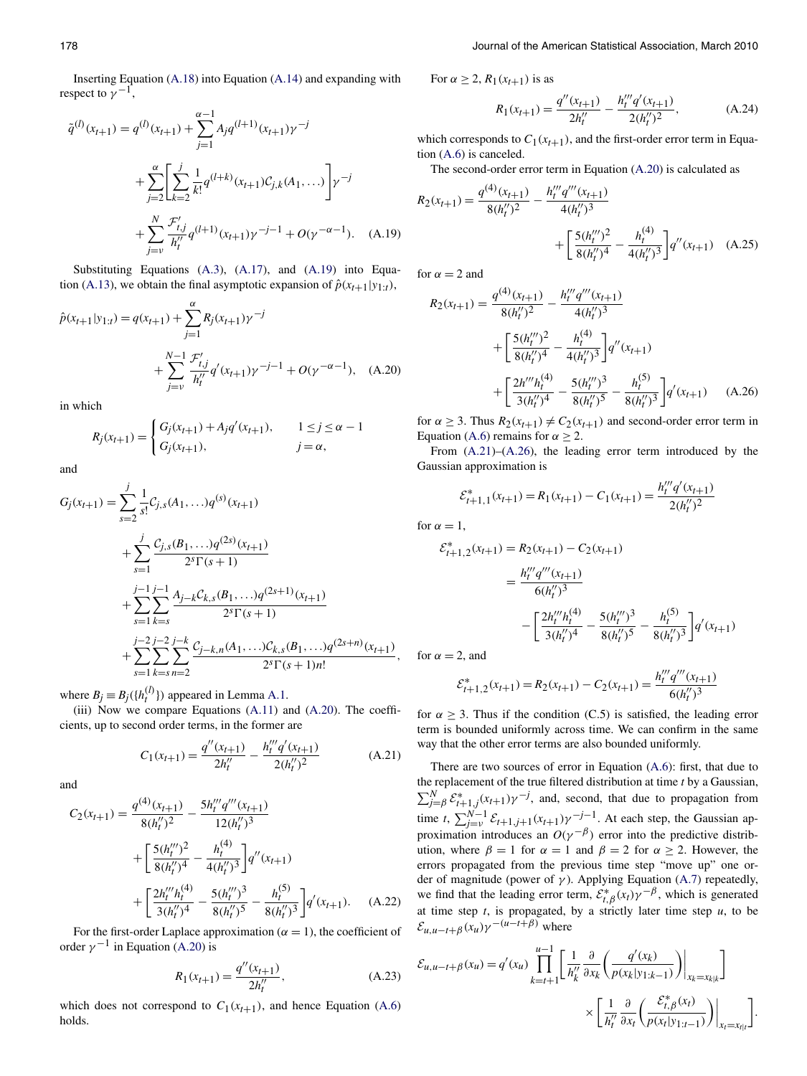Inserting Equation [\(A.18\)](#page-7-0) into Equation [\(A.14\)](#page-7-0) and expanding with respect to  $\gamma^{-1}$ ,

$$
\tilde{q}^{(l)}(x_{t+1}) = q^{(l)}(x_{t+1}) + \sum_{j=1}^{\alpha-1} A_j q^{(l+1)}(x_{t+1}) \gamma^{-j}
$$
  
+ 
$$
\sum_{j=2}^{\alpha} \left[ \sum_{k=2}^{j} \frac{1}{k!} q^{(l+k)}(x_{t+1}) C_{j,k}(A_1, \ldots) \right] \gamma^{-j}
$$
  
+ 
$$
\sum_{j=v}^{N} \frac{\mathcal{F}'_{t,j}}{h''_t} q^{(l+1)}(x_{t+1}) \gamma^{-j-1} + O(\gamma^{-\alpha-1}). \quad (A.19)
$$

Substituting Equations [\(A.3\)](#page-6-0), [\(A.17\)](#page-7-0), and (A.19) into Equa-tion [\(A.13\)](#page-7-0), we obtain the final asymptotic expansion of  $\hat{p}(x_{t+1}|y_{1:t})$ ,

$$
\hat{p}(x_{t+1}|y_{1:t}) = q(x_{t+1}) + \sum_{j=1}^{\alpha} R_j(x_{t+1}) \gamma^{-j} + \sum_{j=v}^{N-1} \frac{\mathcal{F}'_{t,j}}{h''_t} q'(x_{t+1}) \gamma^{-j-1} + O(\gamma^{-\alpha-1}), \quad (A.20)
$$

in which

$$
R_j(x_{t+1}) = \begin{cases} G_j(x_{t+1}) + A_j q'(x_{t+1}), & 1 \le j \le \alpha - 1 \\ G_j(x_{t+1}), & j = \alpha, \end{cases}
$$

and

$$
G_j(x_{t+1}) = \sum_{s=2}^j \frac{1}{s!} C_{j,s}(A_1, \ldots) q^{(s)}(x_{t+1})
$$
  
+ 
$$
\sum_{s=1}^j \frac{C_{j,s}(B_1, \ldots) q^{(2s)}(x_{t+1})}{2^s \Gamma(s+1)}
$$
  
+ 
$$
\sum_{s=1}^j \sum_{k=s}^{j-1} \frac{A_{j-k} C_{k,s}(B_1, \ldots) q^{(2s+1)}(x_{t+1})}{2^s \Gamma(s+1)}
$$
  
+ 
$$
\sum_{s=1}^j \sum_{k=s}^{j-2} \sum_{n=2}^{j-k} \frac{C_{j-k,n}(A_1, \ldots) C_{k,s}(B_1, \ldots) q^{(2s+n)}(x_{t+1})}{2^s \Gamma(s+1)n!},
$$

where  $B_j \equiv B_j({h_t^{(l)}})$  appeared in Lemma [A.1.](#page-6-0)

(iii) Now we compare Equations [\(A.11\)](#page-7-0) and (A.20). The coefficients, up to second order terms, in the former are

$$
C_1(x_{t+1}) = \frac{q''(x_{t+1})}{2h_t''} - \frac{h_t'''q'(x_{t+1})}{2(h_t'')^2}
$$
 (A.21)

and

$$
C_2(x_{t+1}) = \frac{q^{(4)}(x_{t+1})}{8(h_t'')^2} - \frac{5h_t''q'''(x_{t+1})}{12(h_t'')^3} + \left[\frac{5(h_t''')^2}{8(h_t'')^4} - \frac{h_t^{(4)}}{4(h_t'')^3}\right]q''(x_{t+1}) + \left[\frac{2h_t'''h_t^{(4)}}{3(h_t'')^4} - \frac{5(h_t''')^3}{8(h_t'')^5} - \frac{h_t^{(5)}}{8(h_t'')^3}\right]q'(x_{t+1}).
$$
 (A.22)

For the first-order Laplace approximation ( $\alpha = 1$ ), the coefficient of order  $\gamma^{-1}$  in Equation (A.20) is

$$
R_1(x_{t+1}) = \frac{q''(x_{t+1})}{2h_t''},
$$
\n(A.23)

which does not correspond to  $C_1(x_{t+1})$ , and hence Equation [\(A.6\)](#page-7-0) holds.

For  $\alpha \geq 2$ ,  $R_1(x_{t+1})$  is as

$$
R_1(x_{t+1}) = \frac{q''(x_{t+1})}{2h_t''} - \frac{h_t'''q'(x_{t+1})}{2(h_t'')^2},
$$
 (A.24)

which corresponds to  $C_1(x_{t+1})$ , and the first-order error term in Equation [\(A.6\)](#page-7-0) is canceled.

The second-order error term in Equation (A.20) is calculated as

$$
R_2(x_{t+1}) = \frac{q^{(4)}(x_{t+1})}{8(h_t^{\prime\prime})^2} - \frac{h_t^{\prime\prime\prime}q^{\prime\prime\prime}(x_{t+1})}{4(h_t^{\prime\prime})^3} + \left[\frac{5(h_t^{\prime\prime\prime})^2}{8(h_t^{\prime\prime})^4} - \frac{h_t^{(4)}}{4(h_t^{\prime\prime})^3}\right]q^{\prime\prime}(x_{t+1}) \quad (A.25)
$$

for  $\alpha = 2$  and

$$
R_2(x_{t+1}) = \frac{q^{(4)}(x_{t+1})}{8(h_t'')^2} - \frac{h_t''q'''(x_{t+1})}{4(h_t'')^3} + \left[\frac{5(h_t''')^2}{8(h_t'')^4} - \frac{h_t^{(4)}}{4(h_t'')^3}\right]q''(x_{t+1}) + \left[\frac{2h''h_t^{(4)}}{3(h_t'')^4} - \frac{5(h_t''')^3}{8(h_t'')^5} - \frac{h_t^{(5)}}{8(h_t'')^3}\right]q'(x_{t+1}) \quad (A.26)
$$

for  $\alpha \geq 3$ . Thus  $R_2(x_{t+1}) \neq C_2(x_{t+1})$  and second-order error term in Equation [\(A.6\)](#page-7-0) remains for  $\alpha \geq 2$ .

From  $(A.21)$ – $(A.26)$ , the leading error term introduced by the Gaussian approximation is

$$
\mathcal{E}_{t+1,1}^*(x_{t+1}) = R_1(x_{t+1}) - C_1(x_{t+1}) = \frac{h_t'''q'(x_{t+1})}{2(h_t'')^2}
$$

for  $\alpha = 1$ ,

$$
\mathcal{E}_{t+1,2}^{*}(x_{t+1}) = R_2(x_{t+1}) - C_2(x_{t+1})
$$
\n
$$
= \frac{h_t'''q'''(x_{t+1})}{6(h_t'')^3}
$$
\n
$$
- \left[ \frac{2h_t'''h_t^{(4)}}{3(h_t'')^4} - \frac{5(h_t'''')^3}{8(h_t'')^5} - \frac{h_t^{(5)}}{8(h_t'')^3} \right] q'(x_{t+1})
$$

for  $\alpha = 2$ , and

$$
\mathcal{E}_{t+1,2}^*(x_{t+1}) = R_2(x_{t+1}) - C_2(x_{t+1}) = \frac{h_t'''q'''(x_{t+1})}{6(h_t'')^3}
$$

for  $\alpha \geq 3$ . Thus if the condition (C.5) is satisfied, the leading error term is bounded uniformly across time. We can confirm in the same way that the other error terms are also bounded uniformly.

There are two sources of error in Equation [\(A.6\)](#page-7-0): first, that due to the replacement of the true filtered distribution at time *t* by a Gaussian,  $\sum_{j=\beta}^{N} \mathcal{E}_{t+1,j}^*(x_{t+1}) \gamma^{-j}$ , and, second, that due to propagation from time *t*,  $\sum_{j=v}^{N-1} \mathcal{E}_{t+1,j+1}(x_{t+1}) \gamma^{-j-1}$ . At each step, the Gaussian approximation introduces an  $O(\gamma^{-\beta})$  error into the predictive distribution, where  $\beta = 1$  for  $\alpha = 1$  and  $\beta = 2$  for  $\alpha \ge 2$ . However, the errors propagated from the previous time step "move up" one order of magnitude (power of *γ* ). Applying Equation [\(A.7\)](#page-7-0) repeatedly, we find that the leading error term,  $\mathcal{E}_{t,\beta}^*(x_t)\gamma^{-\beta}$ , which is generated at time step  $t$ , is propagated, by a strictly later time step  $u$ , to be  $\mathcal{E}_{u,u-t+\beta}(x_u)\gamma^{-(u-t+\beta)}$  where

$$
\mathcal{E}_{u,u-t+\beta}(x_u) = q'(x_u) \prod_{k=t+1}^{u-1} \left[ \frac{1}{h_k''} \frac{\partial}{\partial x_k} \left( \frac{q'(x_k)}{p(x_k|y_{1:k-1})} \right) \Big|_{x_k=x_{k|k}} \right]
$$

$$
\times \left[ \frac{1}{h_t''} \frac{\partial}{\partial x_t} \left( \frac{\mathcal{E}_{t,\beta}^*(x_t)}{p(x_t|y_{1:t-1})} \right) \Big|_{x_t=x_{t|t}} \right].
$$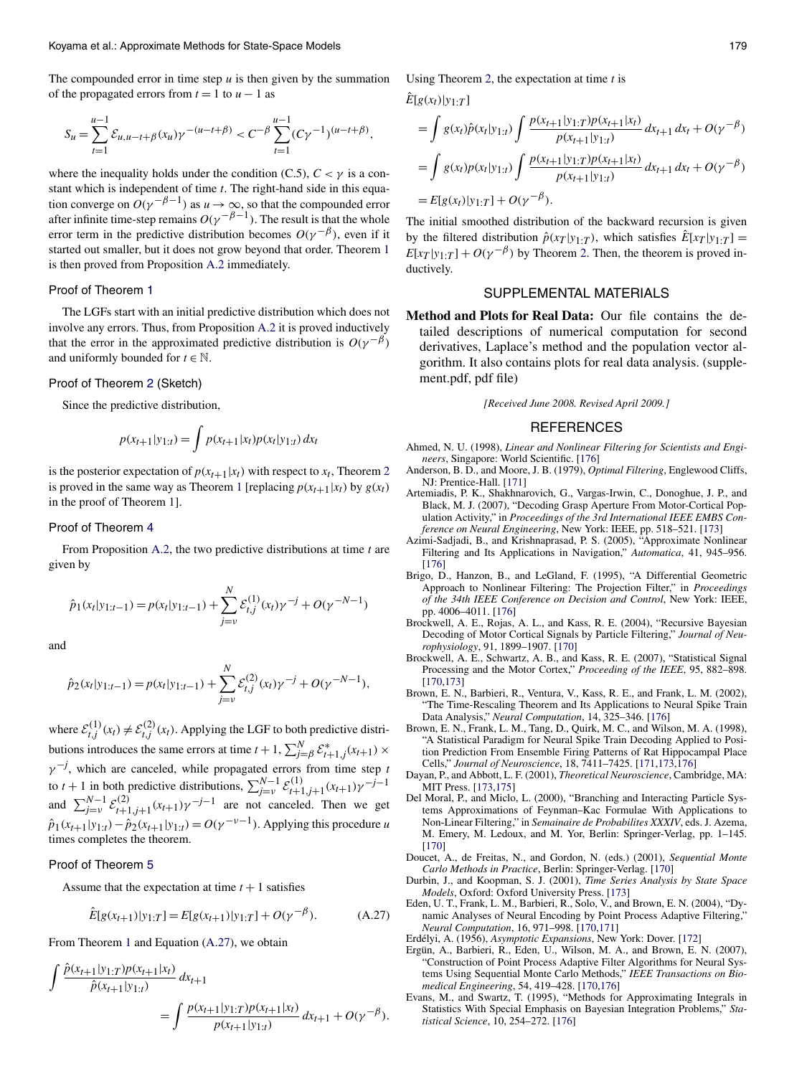<span id="page-9-0"></span>The compounded error in time step  $u$  is then given by the summation of the propagated errors from  $t = 1$  to  $u - 1$  as

$$
S_u = \sum_{t=1}^{u-1} \mathcal{E}_{u, u-t+\beta}(x_u) \gamma^{-(u-t+\beta)} < C^{-\beta} \sum_{t=1}^{u-1} (C\gamma^{-1})^{(u-t+\beta)},
$$

where the inequality holds under the condition (C.5),  $C < \gamma$  is a constant which is independent of time *t*. The right-hand side in this equation converge on  $O(\gamma^{-\beta-1})$  as  $u \to \infty$ , so that the compounded error after infinite time-step remains  $O(\gamma^{-\beta-1})$ . The result is that the whole error term in the predictive distribution becomes  $O(\gamma^{-\beta})$ , even if it started out smaller, but it does not grow beyond that order. Theorem [1](#page-2-0) is then proved from Proposition [A.2](#page-7-0) immediately.

#### Proof of Theorem [1](#page-2-0)

The LGFs start with an initial predictive distribution which does not involve any errors. Thus, from Proposition [A.2](#page-7-0) it is proved inductively that the error in the approximated predictive distribution is  $O(\gamma^{-\beta})$ and uniformly bounded for  $t \in \mathbb{N}$ .

#### Proof of Theorem [2](#page-2-0) (Sketch)

Since the predictive distribution,

$$
p(x_{t+1}|y_{1:t}) = \int p(x_{t+1}|x_t)p(x_t|y_{1:t}) dx_t
$$

is the posterior expectation of  $p(x_{t+1}|x_t)$  with respect to  $x_t$ , Theorem [2](#page-2-0) is proved in the same way as Theorem [1](#page-2-0) [replacing  $p(x_{t+1}|x_t)$  by  $g(x_t)$ in the proof of Theorem [1\]](#page-2-0).

#### Proof of Theorem [4](#page-2-0)

From Proposition [A.2,](#page-7-0) the two predictive distributions at time *t* are given by

$$
\hat{p}_1(x_t|y_{1:t-1}) = p(x_t|y_{1:t-1}) + \sum_{j=v}^{N} \mathcal{E}_{t,j}^{(1)}(x_t) \gamma^{-j} + O(\gamma^{-N-1})
$$

and

$$
\hat{p}_2(x_t|y_{1:t-1}) = p(x_t|y_{1:t-1}) + \sum_{j=v}^{N} \mathcal{E}_{t,j}^{(2)}(x_t) \gamma^{-j} + O(\gamma^{-N-1}),
$$

where  $\mathcal{E}_{t,j}^{(1)}(x_t) \neq \mathcal{E}_{t,j}^{(2)}(x_t)$ . Applying the LGF to both predictive distributions introduces the same errors at time  $t + 1$ ,  $\sum_{j=0}^{N} \mathcal{E}_{t+1,j}^*(x_{t+1}) \times$  $\gamma^{-j}$ , which are canceled, while propagated errors from time step *t* to *t* + 1 in both predictive distributions,  $\sum_{j=v}^{N-1} \mathcal{E}_{t+1,j+1}^{(1)}(x_{t+1}) \gamma^{-j-1}$ and  $\sum_{j=v}^{N-1} \mathcal{E}_{t+1,j+1}^{(2)}(x_{t+1}) \gamma^{-j-1}$  are not canceled. Then we get  $\hat{p}_1(x_{t+1}|y_{1:t}) - \hat{p}_2(x_{t+1}|y_{1:t}) = O(\gamma^{-\nu-1})$ . Applying this procedure *u* times completes the theorem.

#### Proof of Theorem [5](#page-2-0)

Assume that the expectation at time  $t + 1$  satisfies

$$
\hat{E}[g(x_{t+1})|y_{1:T}] = E[g(x_{t+1})|y_{1:T}] + O(\gamma^{-\beta}).
$$
\n(A.27)

From Theorem [1](#page-2-0) and Equation (A.27), we obtain

$$
\int \frac{\hat{p}(x_{t+1}|y_{1:T})p(x_{t+1}|x_t)}{\hat{p}(x_{t+1}|y_{1:t})} dx_{t+1} = \int \frac{p(x_{t+1}|y_{1:T})p(x_{t+1}|x_t)}{p(x_{t+1}|y_{1:t})} dx_{t+1} + O(\gamma^{-\beta}).
$$

Using Theorem [2,](#page-2-0) the expectation at time *t* is

 $E[g(x_t)|y_1 \cdot \tau]$ 

$$
= \int g(x_t) \hat{p}(x_t|y_{1:t}) \int \frac{p(x_{t+1}|y_{1:T}) p(x_{t+1}|x_t)}{p(x_{t+1}|y_{1:t})} dx_{t+1} dx_t + O(\gamma^{-\beta})
$$
  
= 
$$
\int g(x_t) p(x_t|y_{1:t}) \int \frac{p(x_{t+1}|y_{1:T}) p(x_{t+1}|x_t)}{p(x_{t+1}|y_{1:t})} dx_{t+1} dx_t + O(\gamma^{-\beta})
$$
  
= 
$$
E[g(x_t)|y_{1:T}] + O(\gamma^{-\beta}).
$$

The initial smoothed distribution of the backward recursion is given by the filtered distribution  $\hat{p}(x_T | y_{1:T})$ , which satisfies  $\hat{E}[x_T | y_{1:T}] =$  $E[x_T | y_{1:T}] + O(\gamma^{-\beta})$  by Theorem [2.](#page-2-0) Then, the theorem is proved inductively.

#### SUPPLEMENTAL MATERIALS

**Method and Plots for Real Data:** Our file contains the detailed descriptions of numerical computation for second derivatives, Laplace's method and the population vector algorithm. It also contains plots for real data analysis. (supplement.pdf, pdf file)

*[Received June 2008. Revised April 2009.]*

#### REFERENCES

- Ahmed, N. U. (1998), *Linear and Nonlinear Filtering for Scientists and Engineers*, Singapore: World Scientific. [\[176\]](#page-6-0)
- Anderson, B. D., and Moore, J. B. (1979), *Optimal Filtering*, Englewood Cliffs, NJ: Prentice-Hall. [\[171\]](#page-1-0)
- Artemiadis, P. K., Shakhnarovich, G., Vargas-Irwin, C., Donoghue, J. P., and Black, M. J. (2007), "Decoding Grasp Aperture From Motor-Cortical Population Activity," in *Proceedings of the 3rd International IEEE EMBS Conference on Neural Engineering*, New York: IEEE, pp. 518–521. [\[173\]](#page-3-0)
- Azimi-Sadjadi, B., and Krishnaprasad, P. S. (2005), "Approximate Nonlinear Filtering and Its Applications in Navigation," *Automatica*, 41, 945–956. [\[176\]](#page-6-0)
- Brigo, D., Hanzon, B., and LeGland, F. (1995), "A Differential Geometric Approach to Nonlinear Filtering: The Projection Filter," in *Proceedings of the 34th IEEE Conference on Decision and Control*, New York: IEEE, pp. 4006–4011. [\[176\]](#page-6-0)
- Brockwell, A. E., Rojas, A. L., and Kass, R. E. (2004), "Recursive Bayesian Decoding of Motor Cortical Signals by Particle Filtering," *Journal of Neurophysiology*, 91, 1899–1907. [\[170\]](#page-0-0)
- Brockwell, A. E., Schwartz, A. B., and Kass, R. E. (2007), "Statistical Signal Processing and the Motor Cortex," *Proceeding of the IEEE*, 95, 882–898. [\[170,173\]](#page-0-0)
- Brown, E. N., Barbieri, R., Ventura, V., Kass, R. E., and Frank, L. M. (2002), "The Time-Rescaling Theorem and Its Applications to Neural Spike Train Data Analysis," *Neural Computation*, 14, 325–346. [\[176\]](#page-6-0)
- Brown, E. N., Frank, L. M., Tang, D., Quirk, M. C., and Wilson, M. A. (1998), "A Statistical Paradigm for Neural Spike Train Decoding Applied to Position Prediction From Ensemble Firing Patterns of Rat Hippocampal Place Cells," *Journal of Neuroscience*, 18, 7411–7425. [\[171,173](#page-1-0)[,176\]](#page-3-0)
- Dayan, P., and Abbott, L. F. (2001), *Theoretical Neuroscience*, Cambridge, MA: MIT Press. [\[173,175\]](#page-3-0)
- Del Moral, P., and Miclo, L. (2000), "Branching and Interacting Particle Systems Approximations of Feynman–Kac Formulae With Applications to Non-Linear Filtering," in *Semainaire de Probabilites XXXIV*, eds. J. Azema, M. Emery, M. Ledoux, and M. Yor, Berlin: Springer-Verlag, pp. 1–145. [\[170\]](#page-0-0)
- Doucet, A., de Freitas, N., and Gordon, N. (eds.) (2001), *Sequential Monte Carlo Methods in Practice*, Berlin: Springer-Verlag. [\[170\]](#page-0-0)
- Durbin, J., and Koopman, S. J. (2001), *Time Series Analysis by State Space Models*, Oxford: Oxford University Press. [\[173\]](#page-3-0)
- Eden, U. T., Frank, L. M., Barbieri, R., Solo, V., and Brown, E. N. (2004), "Dynamic Analyses of Neural Encoding by Point Process Adaptive Filtering,' *Neural Computation*, 16, 971–998. [\[170,171\]](#page-0-0)
- Erdélyi, A. (1956), *Asymptotic Expansions*, New York: Dover. [\[172\]](#page-2-0)
- Ergün, A., Barbieri, R., Eden, U., Wilson, M. A., and Brown, E. N. (2007), "Construction of Point Process Adaptive Filter Algorithms for Neural Systems Using Sequential Monte Carlo Methods," *IEEE Transactions on Biomedical Engineering*, 54, 419–428. [\[170,176\]](#page-0-0)
- Evans, M., and Swartz, T. (1995), "Methods for Approximating Integrals in Statistics With Special Emphasis on Bayesian Integration Problems," *Statistical Science*, 10, 254–272. [\[176\]](#page-6-0)